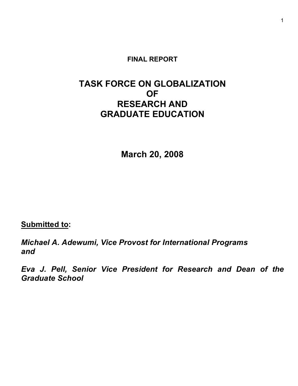## **FINAL REPORT**

# **TASK FORCE ON GLOBALIZATION OF RESEARCH AND GRADUATE EDUCATION**

**March 20, 2008**

**Submitted to:**

*Michael A. Adewumi, Vice Provost for International Programs and*

*Eva J. Pell, Senior Vice President for Research and Dean of the Graduate School*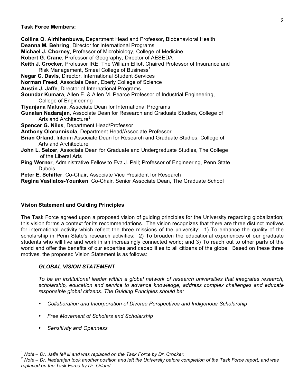### **Task Force Members:**

**Collins O. Airhihenbuwa**, Department Head and Professor, Biobehavioral Health **Deanna M. Behring**, Director for International Programs **Michael J. Chorney**, Professor of Microbiology, College of Medicine **Robert G. Crane**, Professor of Geography, Director of AESEDA **Keith J. Crocker**, Professor IRE, The William Elliott Chaired Professor of Insurance and Risk Management, Smeal College of Business**<sup>1</sup> Negar C. Davis**, Director, International Student Services **Norman Freed**, Associate Dean, Eberly College of Science **Austin J. Jaffe**, Director of International Programs **Soundar Kumara**, Allen E. & Allen M. Pearce Professor of Industrial Engineering, College of Engineering **Tiyanjana Maluwa**, Associate Dean for International Programs **Gunalan Nadarajan**, Associate Dean for Research and Graduate Studies, College of Arts and Architecture<sup>2</sup> **Spencer G. Niles**, Department Head/Professor **Anthony Olorunnisola**, Department Head/Associate Professor **Brian Orland**, Interim Associate Dean for Research and Graduate Studies, College of Arts and Architecture **John L. Selzer**, Associate Dean for Graduate and Undergraduate Studies, The College of the Liberal Arts **Ping Werner**, Administrative Fellow to Eva J. Pell; Professor of Engineering, Penn State Dubois **Peter E. Schiffer**, Co-Chair, Associate Vice President for Research **Regina Vasilatos-Younken**, Co-Chair, Senior Associate Dean, The Graduate School

## **Vision Statement and Guiding Principles**

The Task Force agreed upon a proposed vision of guiding principles for the University regarding globalization; this vision forms a context for its recommendations. The vision recognizes that there are three distinct motives for international activity which reflect the three missions of the university: 1) To enhance the quality of the scholarship in Penn State's research activities; 2) To broaden the educational experiences of our graduate students who will live and work in an increasingly connected world; and 3) To reach out to other parts of the world and offer the benefits of our expertise and capabilities to all citizens of the globe. Based on these three motives, the proposed Vision Statement is as follows:

## *GLOBAL VISION STATEMENT*

*To be an institutional leader within a global network of research universities that integrates research, scholarship, education and service to advance knowledge, address complex challenges and educate responsible global citizens. The Guiding Principles should be:*

- *Collaboration and Incorporation of Diverse Perspectives and Indigenous Scholarship*
- *Free Movement of Scholars and Scholarship*
- *Sensitivity and Openness*

 $\frac{1}{1}$  *Note – Dr. Jaffe fell ill and was replaced on the Task Force by Dr. Crocker. <sup>2</sup>*

*Note – Dr. Nadarajan took another position and left the University before completion of the Task Force report, and was replaced on the Task Force by Dr. Orland.*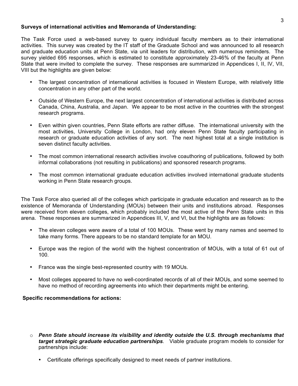### **Surveys of international activities and Memoranda of Understanding:**

The Task Force used a web-based survey to query individual faculty members as to their international activities. This survey was created by the IT staff of the Graduate School and was announced to all research and graduate education units at Penn State, via unit leaders for distribution, with numerous reminders. The survey yielded 695 responses, which is estimated to constitute approximately 23-46% of the faculty at Penn State that were invited to complete the survey. These responses are summarized in Appendices I, II, IV, VII, VIII but the highlights are given below:

- The largest concentration of international activities is focused in Western Europe, with relatively little concentration in any other part of the world.
- Outside of Western Europe, the next largest concentration of international activities is distributed across Canada, China, Australia, and Japan. We appear to be most active in the countries with the strongest research programs.
- Even within given countries, Penn State efforts are rather diffuse. The international university with the most activities, University College in London, had only eleven Penn State faculty participating in research or graduate education activities of any sort. The next highest total at a single institution is seven distinct faculty activities.
- The most common international research activities involve coauthoring of publications, followed by both informal collaborations (not resulting in publications) and sponsored research programs.
- The most common international graduate education activities involved international graduate students working in Penn State research groups.

The Task Force also queried all of the colleges which participate in graduate education and research as to the existence of Memoranda of Understanding (MOUs) between their units and institutions abroad. Responses were received from eleven colleges, which probably included the most active of the Penn State units in this arena. These responses are summarized in Appendices III, V, and VI, but the highlights are as follows:

- The eleven colleges were aware of a total of 100 MOUs. These went by many names and seemed to take many forms. There appears to be no standard template for an MOU.
- Europe was the region of the world with the highest concentration of MOUs, with a total of 61 out of 100.
- France was the single best-represented country with 19 MOUs.
- Most colleges appeared to have no well-coordinated records of all of their MOUs, and some seemed to have no method of recording agreements into which their departments might be entering.

#### **Specific recommendations for actions:**

- o *Penn State should increase its visibility and identity outside the U.S. through mechanisms that target strategic graduate education partnerships*. Viable graduate program models to consider for partnerships include:
	- Certificate offerings specifically designed to meet needs of partner institutions.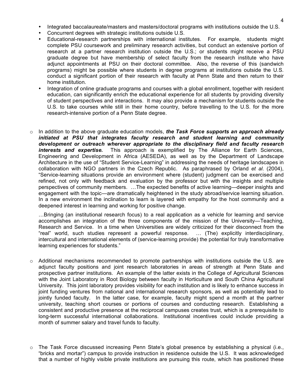- Integrated baccalaureate/masters and masters/doctoral programs with institutions outside the U.S.
- Concurrent degrees with strategic institutions outside U.S.
- Educational-research partnerships with international institutes. For example, students might complete PSU coursework and preliminary research activities, but conduct an extensive portion of research at a partner research institution outside the U.S.; or students might receive a PSU graduate degree but have membership of select faculty from the research institute who have adjunct appointments at PSU on their doctoral committee. Also, the reverse of this (sandwich programs) might be possible where students in degree programs at institutions outside the U.S. conduct a significant portion of their research with faculty at Penn State and then return to their home institution.
- Integration of online graduate programs and courses with a global enrollment, together with resident education, can significantly enrich the educational experience for all students by providing diversity of student perspectives and interactions. It may also provide a mechanism for students outside the U.S. to take courses while still in their home country, before travelling to the U.S. for the more research-intensive portion of a Penn State degree.
- o In addition to the above graduate education models, *the Task Force supports an approach already initiated at PSU that integrates faculty research and student learning and community development or outreach wherever appropriate to the disciplinary field and faculty research interests and expertise.* This approach is exemplified by The Alliance for Earth Sciences, Engineering and Development in Africa (AESEDA), as well as by the Department of Landscape Architecture in the use of "Student Service-Learning" in addressing the needs of heritage landscapes in collaboration with NGO partners in the Czech Republic. As paraphrased by Orland *et al*. (2004), "Service-learning situations provide an environment where (student) judgment can be exercised and refined, not only with feedback and evaluation by the professor but with the insights and multiple perspectives of community members. …The expected benefits of active learning—deeper insights and engagement with the topic—are dramatically heightened in the study abroad/service learning situation. In a new environment the inclination to learn is layered with empathy for the host community and a deepened interest in learning and working for positive change.

…Bringing (an institutional research focus) to a real application as a vehicle for learning and service accomplishes an integration of the three components of the mission of the University—Teaching, Research and Service. In a time when Universities are widely criticized for their disconnect from the "real" world, such studies represent a powerful response. … (The) explicitly interdisciplinary, intercultural and international elements of (service-learning provide) the potential for truly transformative learning experiences for students."

- $\circ$  Additional mechanisms recommended to promote partnerships with institutions outside the U.S. are adjunct faculty positions and joint research laboratories in areas of strength at Penn State and prospective partner institutions. An example of the latter exists in the College of Agricultural Sciences with the Joint Laboratory in Root Biology between faculty in Horticulture and South China Agricultural University. This joint laboratory provides visibility for each institution and is likely to enhance success in joint funding ventures from national and international research sponsors, as well as potentially lead to jointly funded faculty. In the latter case, for example, faculty might spend a month at the partner university, teaching short courses or portions of courses and conducting research. Establishing a consistent and productive presence at the reciprocal campuses creates trust, which is a prerequisite to long-term successful international collaborations. Institutional incentives could include providing a month of summer salary and travel funds to faculty.
- $\circ$  The Task Force discussed increasing Penn State's global presence by establishing a physical (i.e., "bricks and mortar") campus to provide instruction in residence outside the U.S. It was acknowledged that a number of highly visible private institutions are pursuing this route, which has positioned these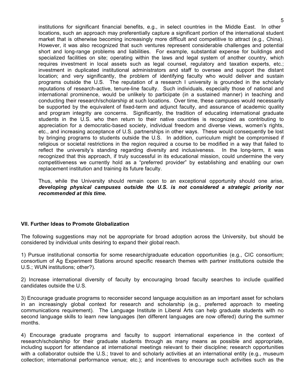institutions for significant financial benefits, e.g., in select countries in the Middle East. In other locations, such an approach may preferentially capture a significant portion of the international student market that is otherwise becoming increasingly more difficult and competitive to attract (e.g., China). However, it was also recognized that such ventures represent considerable challenges and potential short and long-range problems and liabilities. For example, substantial expense for buildings and specialized facilities on site; operating within the laws and legal system of another country, which requires investment in local assets such as legal counsel, regulatory and taxation experts, etc.; investment in duplicated institutional administrators and staff to oversee and support the distant location; and very significantly, the problem of identifying faculty who would deliver and sustain programs outside the U.S. The reputation of a research I university is grounded in the scholarly reputations of research-active, tenure-line faculty. Such individuals, especially those of national and international prominence, would be unlikely to participate (in a sustained manner) in teaching and conducting their research/scholarship at such locations. Over time, these campuses would necessarily be supported by the equivalent of fixed-term and adjunct faculty, and assurance of academic quality and program integrity are concerns. Significantly, the tradition of educating international graduate students in the U.S. who then return to their native countries is recognized as contributing to appreciation for a democratic-based society, individual freedom and diverse views, women's rights, etc., and increasing acceptance of U.S. partnerships in other ways. These would consequently be lost by bringing programs to students outside the U.S. In addition, curriculum might be compromised if religious or societal restrictions in the region required a course to be modified in a way that failed to reflect the university's standing regarding diversity and inclusiveness. In the long-term, it was recognized that this approach, if truly successful in its educational mission, could undermine the very competitiveness we currently hold as a "preferred provider" by establishing and enabling our own replacement institution and training its future faculty.

Thus, while the University should remain open to an exceptional opportunity should one arise, *developing physical campuses outside the U.S. is not considered a strategic priority nor recommended at this time.* 

## **VII. Further Ideas to Promote Globalization**

The following suggestions may not be appropriate for broad adoption across the University, but should be considered by individual units desiring to expand their global reach.

1) Pursue institutional consortia for some research/graduate education opportunities (e.g., CIC consortium; consortium of Ag Experiment Stations around specific research themes with partner institutions outside the U.S.; WUN institutions; other?).

2) Increase international diversity of faculty by encouraging broad faculty searches to include qualified candidates outside the U.S.

3) Encourage graduate programs to reconsider second language acquisition as an important asset for scholars in an increasingly global context for research and scholarship (e.g., preferred approach to meeting communications requirement). The Language Institute in Liberal Arts can help graduate students with no second language skills to learn new languages (ten different languages are now offered) during the summer months.

4) Encourage graduate programs and faculty to support international experience in the context of research/scholarship for their graduate students through as many means as possible and appropriate, including support for attendance at international meetings relevant to their discipline; research opportunities with a collaborator outside the U.S.; travel to and scholarly activities at an international entity (e.g., museum collection; international performance venue; etc.); and incentives to encourage such activities such as the